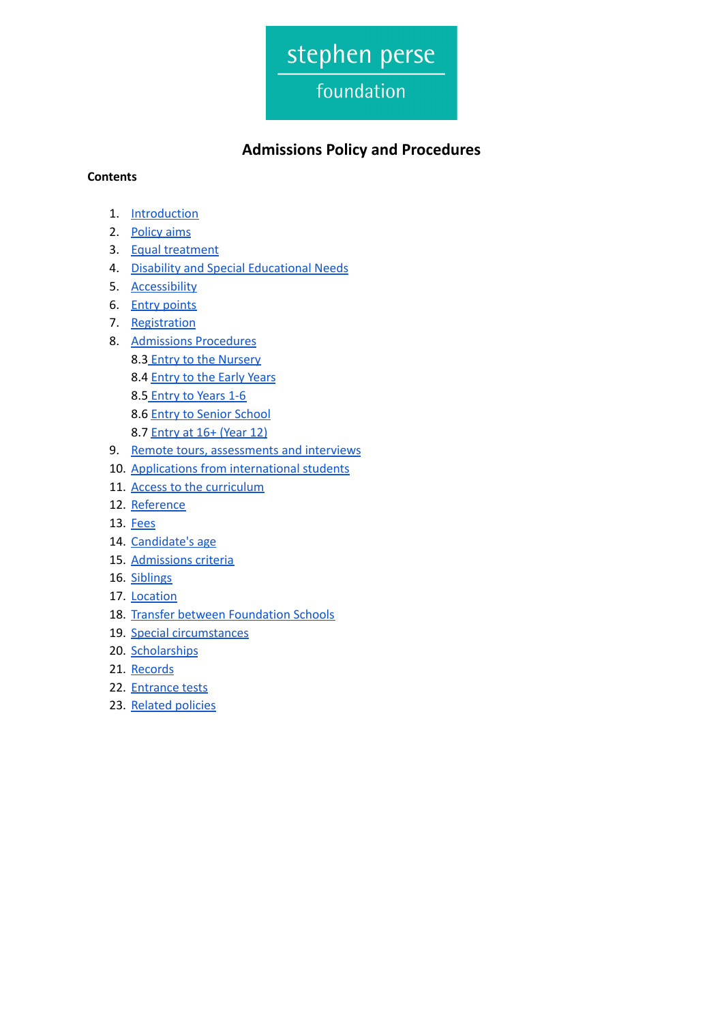

# **Admissions Policy and Procedures**

#### **Contents**

- 1. [Introduction](#page-1-0)
- 2. [Policy](#page-1-1) aims
- 3. Equal [treatment](#page-1-2)
- 4. Disability and Special [Educational](#page-2-0) Needs
- 5. [Accessibility](#page-2-1)
- 6. Entry [points](#page-2-2)
- 7. [Registration](#page-3-0)
- 8. [Admissions](#page-3-1) Procedures
	- 8.3 Entry to the [Nursery](#page-3-2)
	- 8.4 [Entry](#page-3-3) to the Early Years
	- 8.5 [Entry](#page-4-0) to Years 1-6
	- 8.6 Entry to Senior [School](#page-4-1)
	- 8.7 [Entry](#page-5-0) at 16+ (Year 12)
- 9. Remote tours, [assessments](#page-6-0) and interviews
- 10. Applications from [international](#page-6-1) students
- 11. Access to the [curriculum](#page-7-0)
- 12. [Reference](#page-7-1)
- 13. [Fees](#page-7-2)
- 14. [Candidate's](#page-7-3) age
- 15. [Admissions](#page-8-0) criteria
- 16. [Siblings](#page-8-1)
- 17. [Location](#page-8-2)
- 18. Transfer between [Foundation](#page-8-3) Schools
- 19. Special [circumstances](#page-9-0)
- 20. [Scholarships](#page-9-1)
- 21. [Records](#page-10-0)
- 22. [Entrance](#page-10-1) tests
- 23. [Related](#page-10-2) policies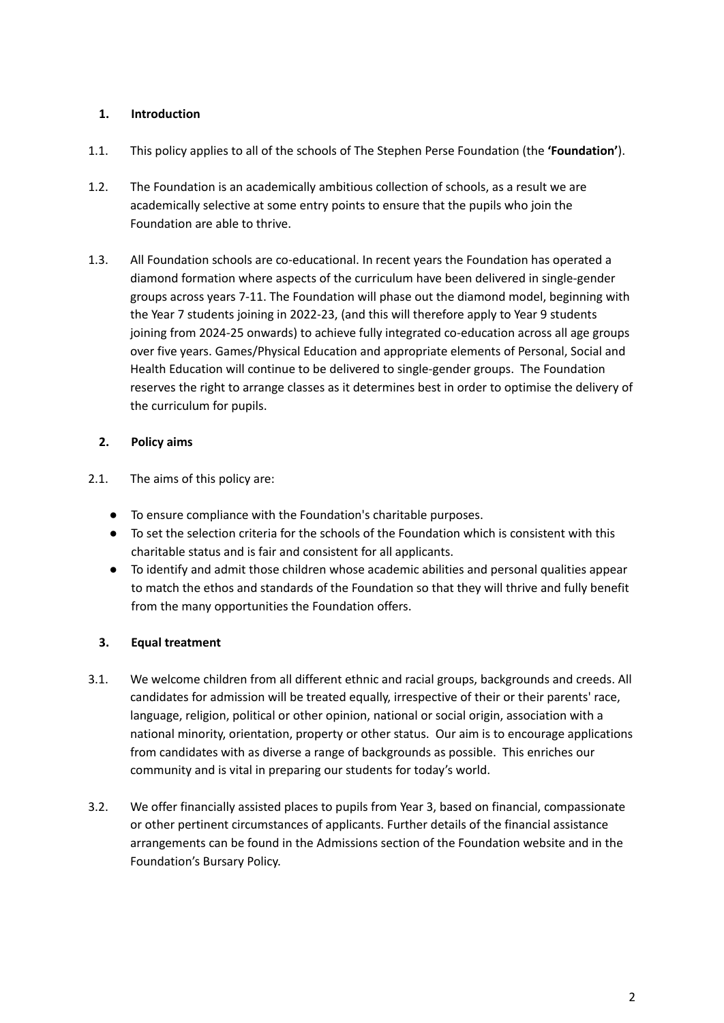# <span id="page-1-0"></span>**1. Introduction**

- 1.1. This policy applies to all of the schools of The Stephen Perse Foundation (the **'Foundation'**).
- 1.2. The Foundation is an academically ambitious collection of schools, as a result we are academically selective at some entry points to ensure that the pupils who join the Foundation are able to thrive.
- 1.3. All Foundation schools are co-educational. In recent years the Foundation has operated a diamond formation where aspects of the curriculum have been delivered in single-gender groups across years 7-11. The Foundation will phase out the diamond model, beginning with the Year 7 students joining in 2022-23, (and this will therefore apply to Year 9 students joining from 2024-25 onwards) to achieve fully integrated co-education across all age groups over five years. Games/Physical Education and appropriate elements of Personal, Social and Health Education will continue to be delivered to single-gender groups. The Foundation reserves the right to arrange classes as it determines best in order to optimise the delivery of the curriculum for pupils.

# <span id="page-1-1"></span>**2. Policy aims**

- 2.1. The aims of this policy are:
	- To ensure compliance with the Foundation's charitable purposes.
	- To set the selection criteria for the schools of the Foundation which is consistent with this charitable status and is fair and consistent for all applicants.
	- To identify and admit those children whose academic abilities and personal qualities appear to match the ethos and standards of the Foundation so that they will thrive and fully benefit from the many opportunities the Foundation offers.

# <span id="page-1-2"></span>**3. Equal treatment**

- 3.1. We welcome children from all different ethnic and racial groups, backgrounds and creeds. All candidates for admission will be treated equally, irrespective of their or their parents' race, language, religion, political or other opinion, national or social origin, association with a national minority, orientation, property or other status. Our aim is to encourage applications from candidates with as diverse a range of backgrounds as possible. This enriches our community and is vital in preparing our students for today's world.
- 3.2. We offer financially assisted places to pupils from Year 3, based on financial, compassionate or other pertinent circumstances of applicants. Further details of the financial assistance arrangements can be found in the Admissions section of the Foundation website and in the Foundation's Bursary Policy.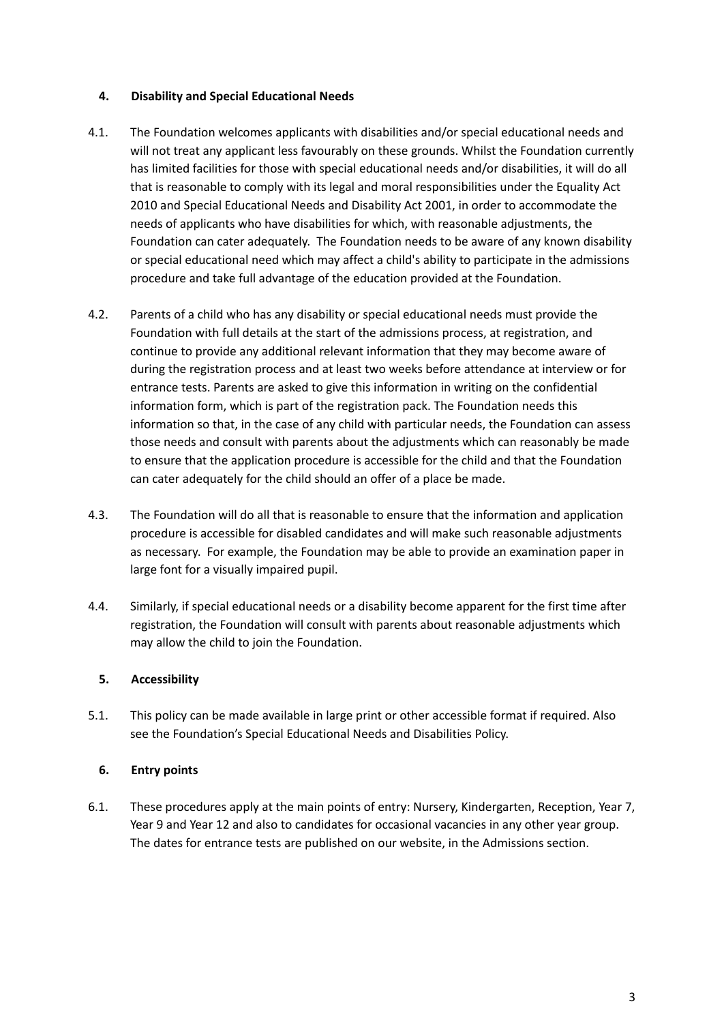#### <span id="page-2-0"></span>**4. Disability and Special Educational Needs**

- 4.1. The Foundation welcomes applicants with disabilities and/or special educational needs and will not treat any applicant less favourably on these grounds. Whilst the Foundation currently has limited facilities for those with special educational needs and/or disabilities, it will do all that is reasonable to comply with its legal and moral responsibilities under the Equality Act 2010 and Special Educational Needs and Disability Act 2001, in order to accommodate the needs of applicants who have disabilities for which, with reasonable adjustments, the Foundation can cater adequately. The Foundation needs to be aware of any known disability or special educational need which may affect a child's ability to participate in the admissions procedure and take full advantage of the education provided at the Foundation.
- 4.2. Parents of a child who has any disability or special educational needs must provide the Foundation with full details at the start of the admissions process, at registration, and continue to provide any additional relevant information that they may become aware of during the registration process and at least two weeks before attendance at interview or for entrance tests. Parents are asked to give this information in writing on the confidential information form, which is part of the registration pack. The Foundation needs this information so that, in the case of any child with particular needs, the Foundation can assess those needs and consult with parents about the adjustments which can reasonably be made to ensure that the application procedure is accessible for the child and that the Foundation can cater adequately for the child should an offer of a place be made.
- 4.3. The Foundation will do all that is reasonable to ensure that the information and application procedure is accessible for disabled candidates and will make such reasonable adjustments as necessary. For example, the Foundation may be able to provide an examination paper in large font for a visually impaired pupil.
- 4.4. Similarly, if special educational needs or a disability become apparent for the first time after registration, the Foundation will consult with parents about reasonable adjustments which may allow the child to join the Foundation.

# <span id="page-2-1"></span>**5. Accessibility**

5.1. This policy can be made available in large print or other accessible format if required. Also see the Foundation's Special Educational Needs and Disabilities Policy.

# <span id="page-2-2"></span>**6. Entry points**

6.1. These procedures apply at the main points of entry: Nursery, Kindergarten, Reception, Year 7, Year 9 and Year 12 and also to candidates for occasional vacancies in any other year group. The dates for entrance tests are published on our website, in the Admissions section.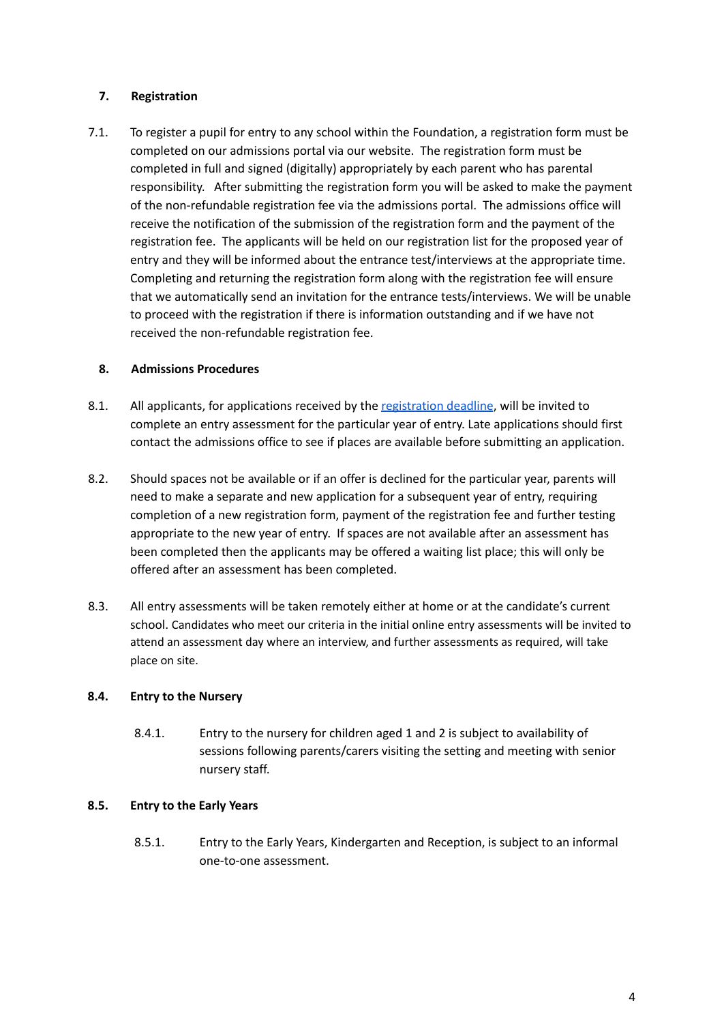#### <span id="page-3-0"></span>**7. Registration**

7.1. To register a pupil for entry to any school within the Foundation, a registration form must be completed on our admissions portal via our website. The registration form must be completed in full and signed (digitally) appropriately by each parent who has parental responsibility. After submitting the registration form you will be asked to make the payment of the non-refundable registration fee via the admissions portal. The admissions office will receive the notification of the submission of the registration form and the payment of the registration fee. The applicants will be held on our registration list for the proposed year of entry and they will be informed about the entrance test/interviews at the appropriate time. Completing and returning the registration form along with the registration fee will ensure that we automatically send an invitation for the entrance tests/interviews. We will be unable to proceed with the registration if there is information outstanding and if we have not received the non-refundable registration fee.

#### <span id="page-3-1"></span>**8. Admissions Procedures**

- 8.1. All applicants, for applications received by the [registration](https://www.stephenperse.com/page/?title=Assessment+Process&pid=1462) deadline, will be invited to complete an entry assessment for the particular year of entry. Late applications should first contact the admissions office to see if places are available before submitting an application.
- 8.2. Should spaces not be available or if an offer is declined for the particular year, parents will need to make a separate and new application for a subsequent year of entry, requiring completion of a new registration form, payment of the registration fee and further testing appropriate to the new year of entry. If spaces are not available after an assessment has been completed then the applicants may be offered a waiting list place; this will only be offered after an assessment has been completed.
- 8.3. All entry assessments will be taken remotely either at home or at the candidate's current school. Candidates who meet our criteria in the initial online entry assessments will be invited to attend an assessment day where an interview, and further assessments as required, will take place on site.

#### <span id="page-3-2"></span>**8.4. Entry to the Nursery**

8.4.1. Entry to the nursery for children aged 1 and 2 is subject to availability of sessions following parents/carers visiting the setting and meeting with senior nursery staff.

#### <span id="page-3-3"></span>**8.5. Entry to the Early Years**

8.5.1. Entry to the Early Years, Kindergarten and Reception, is subject to an informal one-to-one assessment.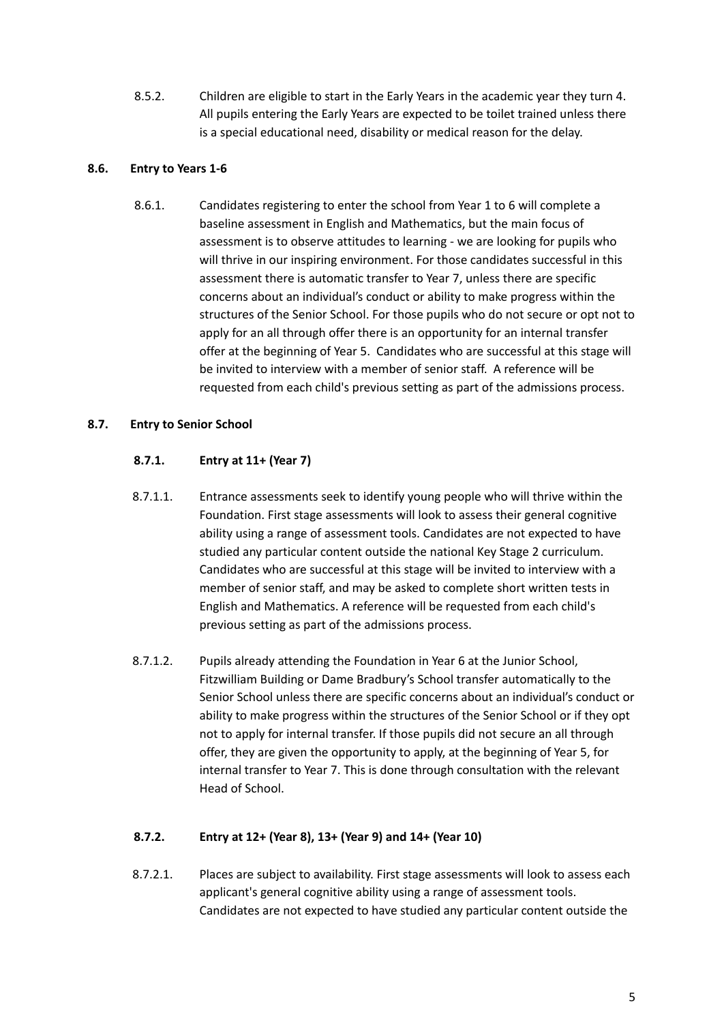8.5.2. Children are eligible to start in the Early Years in the academic year they turn 4. All pupils entering the Early Years are expected to be toilet trained unless there is a special educational need, disability or medical reason for the delay.

# <span id="page-4-0"></span>**8.6. Entry to Years 1-6**

8.6.1. Candidates registering to enter the school from Year 1 to 6 will complete a baseline assessment in English and Mathematics, but the main focus of assessment is to observe attitudes to learning - we are looking for pupils who will thrive in our inspiring environment. For those candidates successful in this assessment there is automatic transfer to Year 7, unless there are specific concerns about an individual's conduct or ability to make progress within the structures of the Senior School. For those pupils who do not secure or opt not to apply for an all through offer there is an opportunity for an internal transfer offer at the beginning of Year 5. Candidates who are successful at this stage will be invited to interview with a member of senior staff. A reference will be requested from each child's previous setting as part of the admissions process.

# <span id="page-4-1"></span>**8.7. Entry to Senior School**

# **8.7.1. Entry at 11+ (Year 7)**

- 8.7.1.1. Entrance assessments seek to identify young people who will thrive within the Foundation. First stage assessments will look to assess their general cognitive ability using a range of assessment tools. Candidates are not expected to have studied any particular content outside the national Key Stage 2 curriculum. Candidates who are successful at this stage will be invited to interview with a member of senior staff, and may be asked to complete short written tests in English and Mathematics. A reference will be requested from each child's previous setting as part of the admissions process.
- 8.7.1.2. Pupils already attending the Foundation in Year 6 at the Junior School, Fitzwilliam Building or Dame Bradbury's School transfer automatically to the Senior School unless there are specific concerns about an individual's conduct or ability to make progress within the structures of the Senior School or if they opt not to apply for internal transfer. If those pupils did not secure an all through offer, they are given the opportunity to apply, at the beginning of Year 5, for internal transfer to Year 7. This is done through consultation with the relevant Head of School.

# **8.7.2. Entry at 12+ (Year 8), 13+ (Year 9) and 14+ (Year 10)**

8.7.2.1. Places are subject to availability. First stage assessments will look to assess each applicant's general cognitive ability using a range of assessment tools. Candidates are not expected to have studied any particular content outside the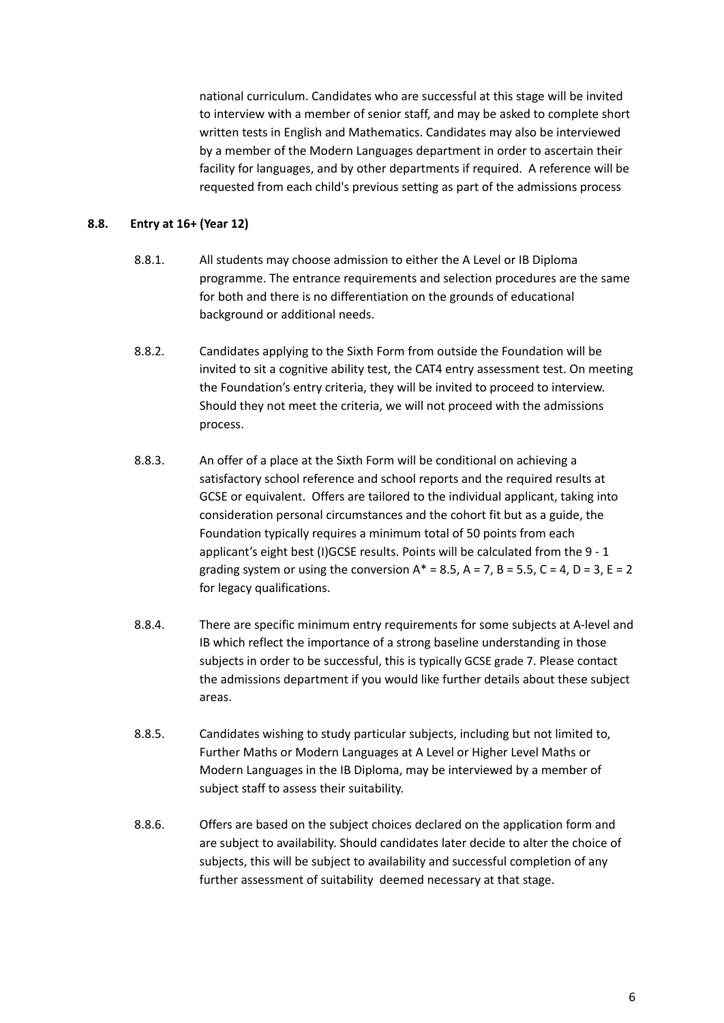national curriculum. Candidates who are successful at this stage will be invited to interview with a member of senior staff, and may be asked to complete short written tests in English and Mathematics. Candidates may also be interviewed by a member of the Modern Languages department in order to ascertain their facility for languages, and by other departments if required. A reference will be requested from each child's previous setting as part of the admissions process

#### <span id="page-5-0"></span>**8.8. Entry at 16+ (Year 12)**

- 8.8.1. All students may choose admission to either the A Level or IB Diploma programme. The entrance requirements and selection procedures are the same for both and there is no differentiation on the grounds of educational background or additional needs.
- 8.8.2. Candidates applying to the Sixth Form from outside the Foundation will be invited to sit a cognitive ability test, the CAT4 entry assessment test. On meeting the Foundation's entry criteria, they will be invited to proceed to interview. Should they not meet the criteria, we will not proceed with the admissions process.
- 8.8.3. An offer of a place at the Sixth Form will be conditional on achieving a satisfactory school reference and school reports and the required results at GCSE or equivalent. Offers are tailored to the individual applicant, taking into consideration personal circumstances and the cohort fit but as a guide, the Foundation typically requires a minimum total of 50 points from each applicant's eight best (I)GCSE results. Points will be calculated from the 9 - 1 grading system or using the conversion  $A^* = 8.5$ ,  $A = 7$ ,  $B = 5.5$ ,  $C = 4$ ,  $D = 3$ ,  $E = 2$ for legacy qualifications.
- 8.8.4. There are specific minimum entry requirements for some subjects at A-level and IB which reflect the importance of a strong baseline understanding in those subjects in order to be successful, this is typically GCSE grade 7. Please contact the admissions department if you would like further details about these subject areas.
- 8.8.5. Candidates wishing to study particular subjects, including but not limited to, Further Maths or Modern Languages at A Level or Higher Level Maths or Modern Languages in the IB Diploma, may be interviewed by a member of subject staff to assess their suitability.
- 8.8.6. Offers are based on the subject choices declared on the application form and are subject to availability. Should candidates later decide to alter the choice of subjects, this will be subject to availability and successful completion of any further assessment of suitability deemed necessary at that stage.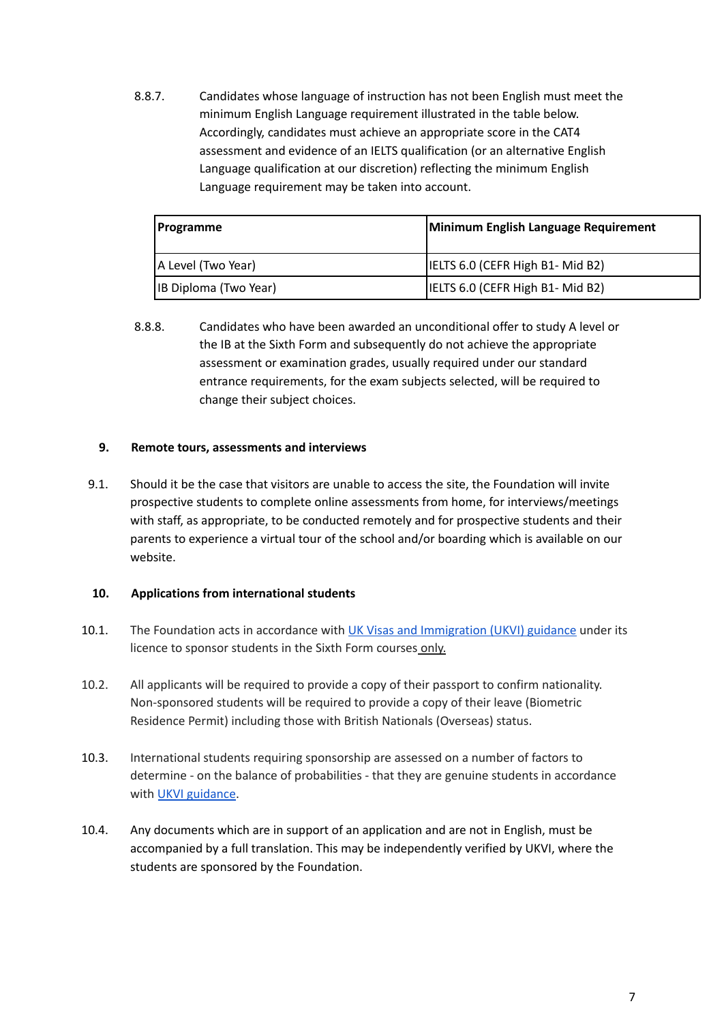8.8.7. Candidates whose language of instruction has not been English must meet the minimum English Language requirement illustrated in the table below. Accordingly, candidates must achieve an appropriate score in the CAT4 assessment and evidence of an IELTS qualification (or an alternative English Language qualification at our discretion) reflecting the minimum English Language requirement may be taken into account.

| <b>Programme</b>       | Minimum English Language Requirement |
|------------------------|--------------------------------------|
| A Level (Two Year)     | IELTS 6.0 (CEFR High B1- Mid B2)     |
| [IB Diploma (Two Year) | IELTS 6.0 (CEFR High B1- Mid B2)     |

8.8.8. Candidates who have been awarded an unconditional offer to study A level or the IB at the Sixth Form and subsequently do not achieve the appropriate assessment or examination grades, usually required under our standard entrance requirements, for the exam subjects selected, will be required to change their subject choices.

#### <span id="page-6-0"></span>**9. Remote tours, assessments and interviews**

9.1. Should it be the case that visitors are unable to access the site, the Foundation will invite prospective students to complete online assessments from home, for interviews/meetings with staff, as appropriate, to be conducted remotely and for prospective students and their parents to experience a virtual tour of the school and/or boarding which is available on our website.

#### <span id="page-6-1"></span>**10. Applications from international students**

- 10.1. The Foundation acts in accordance with UK Visas and [Immigration](https://assets.publishing.service.gov.uk/government/uploads/system/uploads/attachment_data/file/939075/student-route-casework-guidance-v2.0ext.pdf) (UKVI) guidance under its licence to sponsor students in the Sixth Form courses only.
- 10.2. All applicants will be required to provide a copy of their passport to confirm nationality. Non-sponsored students will be required to provide a copy of their leave (Biometric Residence Permit) including those with British Nationals (Overseas) status.
- 10.3. International students requiring sponsorship are assessed on a number of factors to determine - on the balance of probabilities - that they are genuine students in accordance with UKVI [guidance](https://assets.publishing.service.gov.uk/government/uploads/system/uploads/attachment_data/file/939075/student-route-casework-guidance-v2.0ext.pdf).
- 10.4. Any documents which are in support of an application and are not in English, must be accompanied by a full translation. This may be independently verified by UKVI, where the students are sponsored by the Foundation.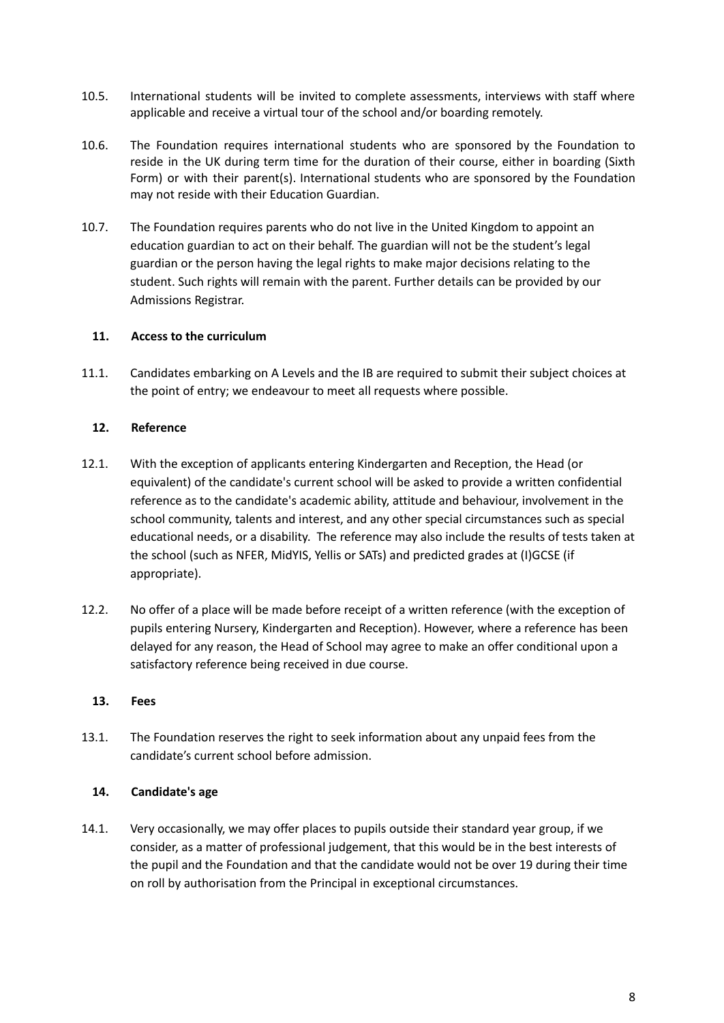- 10.5. International students will be invited to complete assessments, interviews with staff where applicable and receive a virtual tour of the school and/or boarding remotely.
- 10.6. The Foundation requires international students who are sponsored by the Foundation to reside in the UK during term time for the duration of their course, either in boarding (Sixth Form) or with their parent(s). International students who are sponsored by the Foundation may not reside with their Education Guardian.
- 10.7. The Foundation requires parents who do not live in the United Kingdom to appoint an education guardian to act on their behalf. The guardian will not be the student's legal guardian or the person having the legal rights to make major decisions relating to the student. Such rights will remain with the parent. Further details can be provided by our Admissions Registrar.

# <span id="page-7-0"></span>**11. Access to the curriculum**

11.1. Candidates embarking on A Levels and the IB are required to submit their subject choices at the point of entry; we endeavour to meet all requests where possible.

#### <span id="page-7-1"></span>**12. Reference**

- 12.1. With the exception of applicants entering Kindergarten and Reception, the Head (or equivalent) of the candidate's current school will be asked to provide a written confidential reference as to the candidate's academic ability, attitude and behaviour, involvement in the school community, talents and interest, and any other special circumstances such as special educational needs, or a disability. The reference may also include the results of tests taken at the school (such as NFER, MidYIS, Yellis or SATs) and predicted grades at (I)GCSE (if appropriate).
- 12.2. No offer of a place will be made before receipt of a written reference (with the exception of pupils entering Nursery, Kindergarten and Reception). However, where a reference has been delayed for any reason, the Head of School may agree to make an offer conditional upon a satisfactory reference being received in due course.

#### <span id="page-7-2"></span>**13. Fees**

13.1. The Foundation reserves the right to seek information about any unpaid fees from the candidate's current school before admission.

# <span id="page-7-3"></span>**14. Candidate's age**

14.1. Very occasionally, we may offer places to pupils outside their standard year group, if we consider, as a matter of professional judgement, that this would be in the best interests of the pupil and the Foundation and that the candidate would not be over 19 during their time on roll by authorisation from the Principal in exceptional circumstances.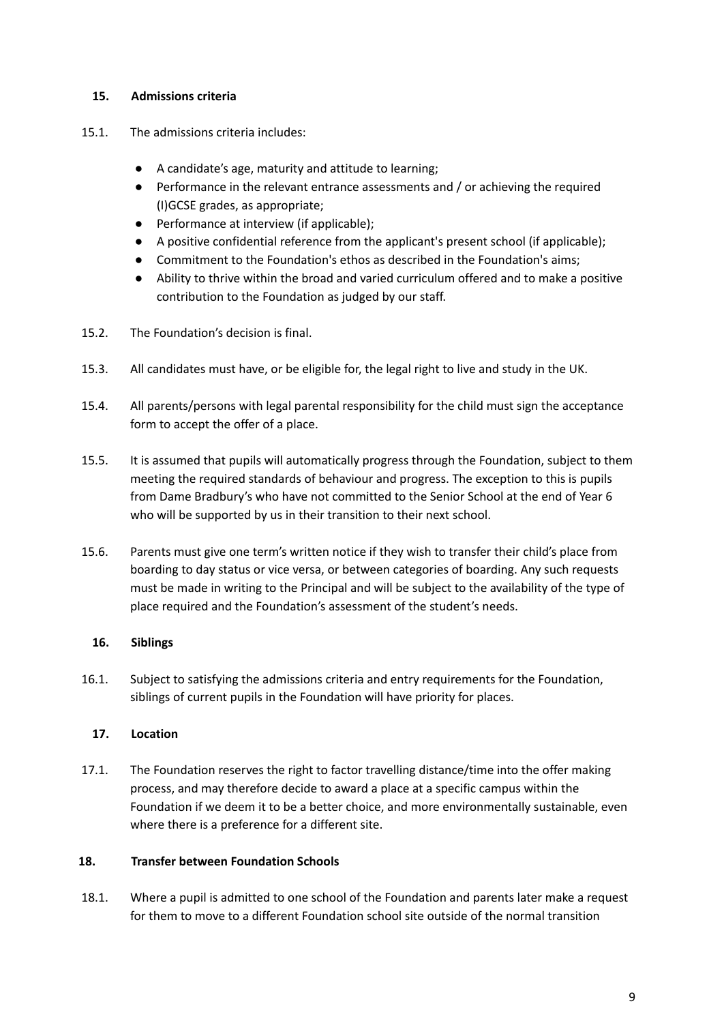# <span id="page-8-0"></span>**15. Admissions criteria**

- 15.1. The admissions criteria includes:
	- A candidate's age, maturity and attitude to learning;
	- Performance in the relevant entrance assessments and / or achieving the required (I)GCSE grades, as appropriate;
	- Performance at interview (if applicable);
	- A positive confidential reference from the applicant's present school (if applicable);
	- Commitment to the Foundation's ethos as described in the Foundation's aims;
	- Ability to thrive within the broad and varied curriculum offered and to make a positive contribution to the Foundation as judged by our staff.
- 15.2. The Foundation's decision is final.
- 15.3. All candidates must have, or be eligible for, the legal right to live and study in the UK.
- 15.4. All parents/persons with legal parental responsibility for the child must sign the acceptance form to accept the offer of a place.
- 15.5. It is assumed that pupils will automatically progress through the Foundation, subject to them meeting the required standards of behaviour and progress. The exception to this is pupils from Dame Bradbury's who have not committed to the Senior School at the end of Year 6 who will be supported by us in their transition to their next school.
- 15.6. Parents must give one term's written notice if they wish to transfer their child's place from boarding to day status or vice versa, or between categories of boarding. Any such requests must be made in writing to the Principal and will be subject to the availability of the type of place required and the Foundation's assessment of the student's needs.

# <span id="page-8-1"></span>**16. Siblings**

16.1. Subject to satisfying the admissions criteria and entry requirements for the Foundation, siblings of current pupils in the Foundation will have priority for places.

# <span id="page-8-2"></span>**17. Location**

17.1. The Foundation reserves the right to factor travelling distance/time into the offer making process, and may therefore decide to award a place at a specific campus within the Foundation if we deem it to be a better choice, and more environmentally sustainable, even where there is a preference for a different site.

# <span id="page-8-3"></span>**18. Transfer between Foundation Schools**

18.1. Where a pupil is admitted to one school of the Foundation and parents later make a request for them to move to a different Foundation school site outside of the normal transition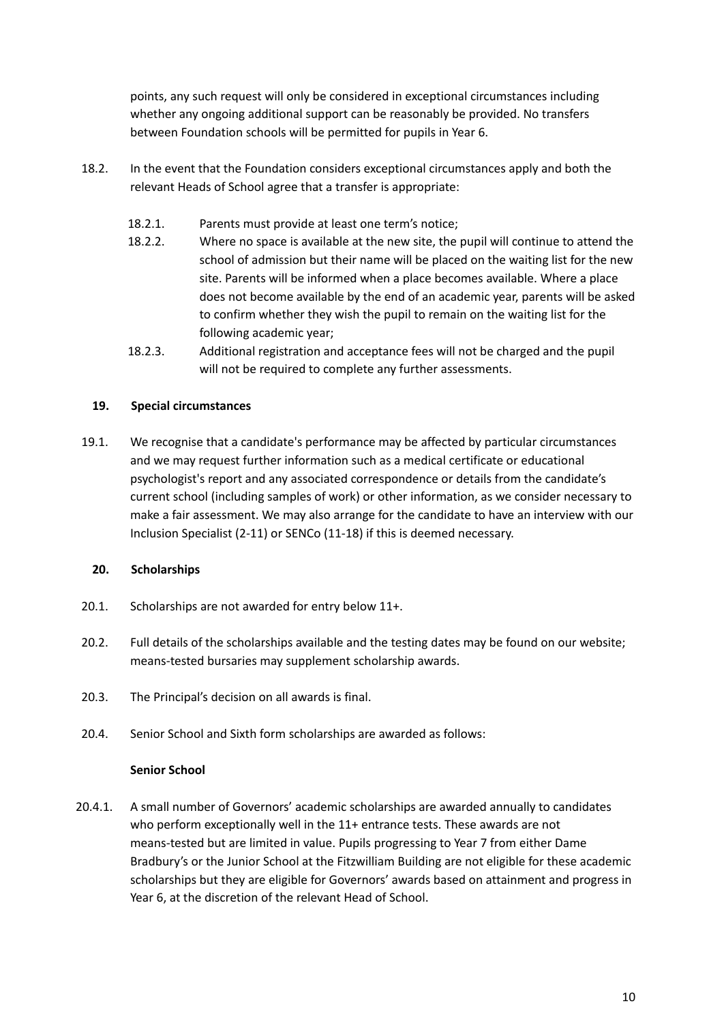points, any such request will only be considered in exceptional circumstances including whether any ongoing additional support can be reasonably be provided. No transfers between Foundation schools will be permitted for pupils in Year 6.

- 18.2. In the event that the Foundation considers exceptional circumstances apply and both the relevant Heads of School agree that a transfer is appropriate:
	- 18.2.1. Parents must provide at least one term's notice;
	- 18.2.2. Where no space is available at the new site, the pupil will continue to attend the school of admission but their name will be placed on the waiting list for the new site. Parents will be informed when a place becomes available. Where a place does not become available by the end of an academic year, parents will be asked to confirm whether they wish the pupil to remain on the waiting list for the following academic year;
	- 18.2.3. Additional registration and acceptance fees will not be charged and the pupil will not be required to complete any further assessments.

#### <span id="page-9-0"></span>**19. Special circumstances**

19.1. We recognise that a candidate's performance may be affected by particular circumstances and we may request further information such as a medical certificate or educational psychologist's report and any associated correspondence or details from the candidate's current school (including samples of work) or other information, as we consider necessary to make a fair assessment. We may also arrange for the candidate to have an interview with our Inclusion Specialist (2-11) or SENCo (11-18) if this is deemed necessary.

#### <span id="page-9-1"></span>**20. Scholarships**

- 20.1. Scholarships are not awarded for entry below 11+.
- 20.2. Full details of the scholarships available and the testing dates may be found on our website; means-tested bursaries may supplement scholarship awards.
- 20.3. The Principal's decision on all awards is final.
- 20.4. Senior School and Sixth form scholarships are awarded as follows:

#### **Senior School**

20.4.1. A small number of Governors' academic scholarships are awarded annually to candidates who perform exceptionally well in the 11+ entrance tests. These awards are not means-tested but are limited in value. Pupils progressing to Year 7 from either Dame Bradbury's or the Junior School at the Fitzwilliam Building are not eligible for these academic scholarships but they are eligible for Governors' awards based on attainment and progress in Year 6, at the discretion of the relevant Head of School.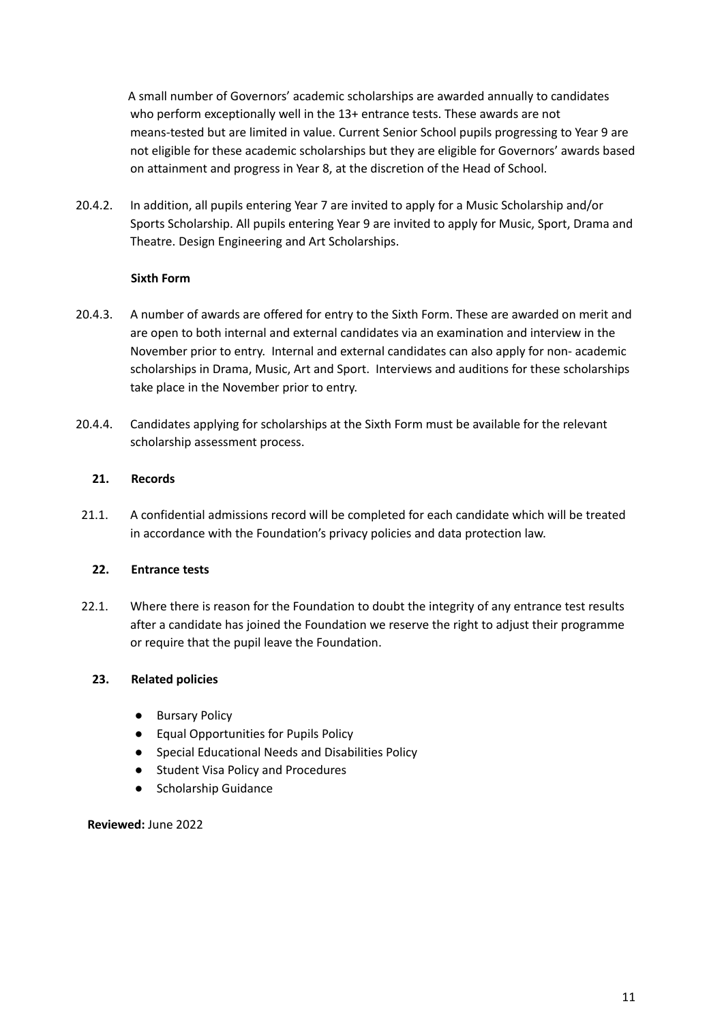A small number of Governors' academic scholarships are awarded annually to candidates who perform exceptionally well in the 13+ entrance tests. These awards are not means-tested but are limited in value. Current Senior School pupils progressing to Year 9 are not eligible for these academic scholarships but they are eligible for Governors' awards based on attainment and progress in Year 8, at the discretion of the Head of School.

20.4.2. In addition, all pupils entering Year 7 are invited to apply for a Music Scholarship and/or Sports Scholarship. All pupils entering Year 9 are invited to apply for Music, Sport, Drama and Theatre. Design Engineering and Art Scholarships.

# **Sixth Form**

- 20.4.3. A number of awards are offered for entry to the Sixth Form. These are awarded on merit and are open to both internal and external candidates via an examination and interview in the November prior to entry. Internal and external candidates can also apply for non- academic scholarships in Drama, Music, Art and Sport. Interviews and auditions for these scholarships take place in the November prior to entry.
- 20.4.4. Candidates applying for scholarships at the Sixth Form must be available for the relevant scholarship assessment process.

#### <span id="page-10-0"></span>**21. Records**

21.1. A confidential admissions record will be completed for each candidate which will be treated in accordance with the Foundation's privacy policies and data protection law.

#### <span id="page-10-1"></span>**22. Entrance tests**

22.1. Where there is reason for the Foundation to doubt the integrity of any entrance test results after a candidate has joined the Foundation we reserve the right to adjust their programme or require that the pupil leave the Foundation.

# <span id="page-10-2"></span>**23. Related policies**

- Bursary Policy
- Equal Opportunities for Pupils Policy
- Special Educational Needs and Disabilities Policy
- Student Visa Policy and Procedures
- Scholarship Guidance

**Reviewed:** June 2022